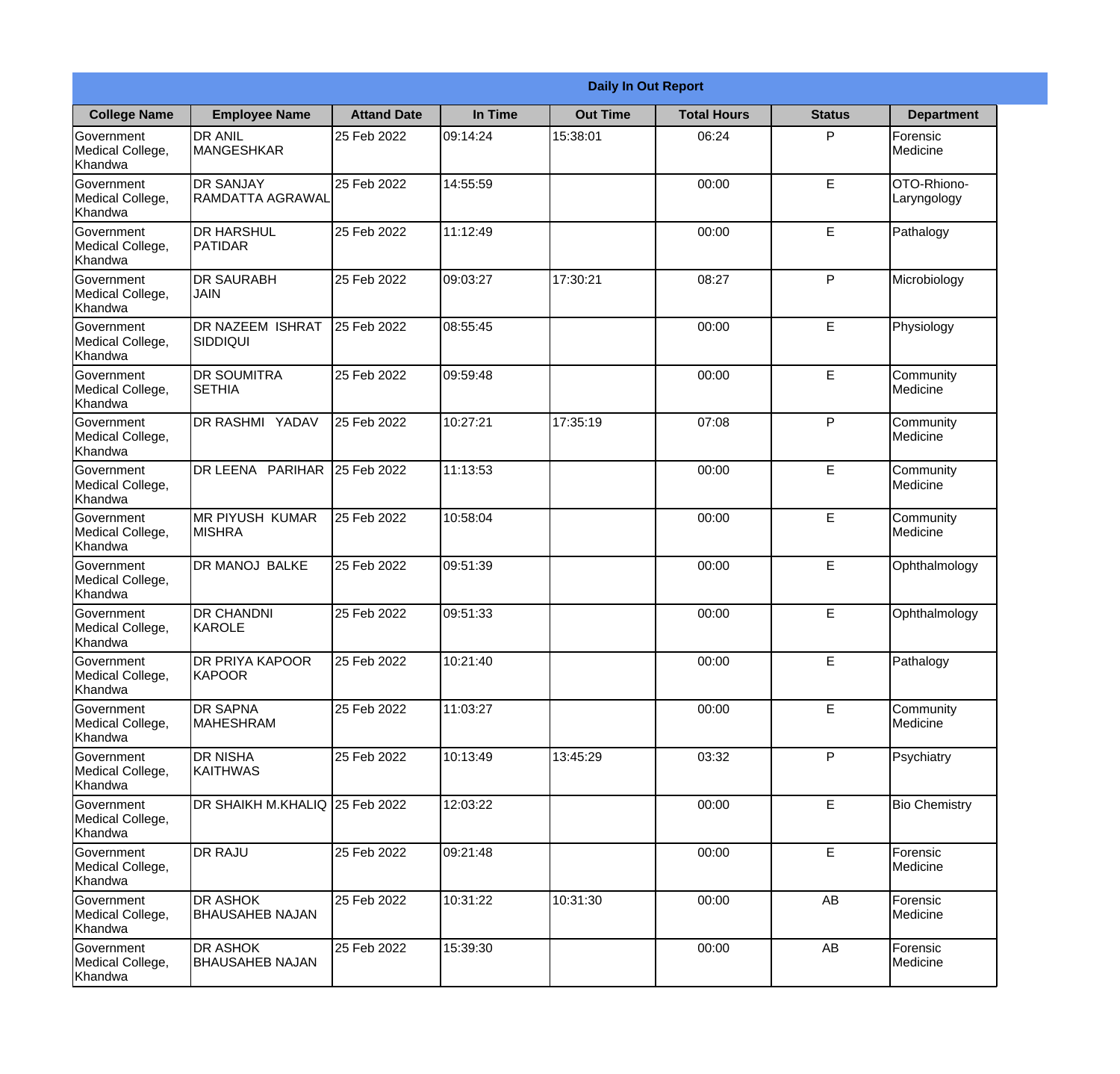|                                                  |                                             |                    |          | <b>Daily In Out Report</b> |                    |               |                            |
|--------------------------------------------------|---------------------------------------------|--------------------|----------|----------------------------|--------------------|---------------|----------------------------|
| <b>College Name</b>                              | <b>Employee Name</b>                        | <b>Attand Date</b> | In Time  | <b>Out Time</b>            | <b>Total Hours</b> | <b>Status</b> | <b>Department</b>          |
| Government<br>Medical College,<br>Khandwa        | <b>DR ANIL</b><br><b>MANGESHKAR</b>         | 25 Feb 2022        | 09:14:24 | 15:38:01                   | 06:24              | P             | Forensic<br>Medicine       |
| Government<br>Medical College,<br>Khandwa        | <b>DR SANJAY</b><br><b>RAMDATTA AGRAWAL</b> | 25 Feb 2022        | 14:55:59 |                            | 00:00              | E             | OTO-Rhiono-<br>Laryngology |
| <b>Government</b><br>Medical College,<br>Khandwa | <b>DR HARSHUL</b><br><b>PATIDAR</b>         | 25 Feb 2022        | 11:12:49 |                            | 00:00              | E             | Pathalogy                  |
| Government<br>Medical College,<br>Khandwa        | <b>DR SAURABH</b><br><b>JAIN</b>            | 25 Feb 2022        | 09:03:27 | 17:30:21                   | 08:27              | P             | Microbiology               |
| Government<br>Medical College,<br>Khandwa        | <b>DR NAZEEM ISHRAT</b><br><b>SIDDIQUI</b>  | 25 Feb 2022        | 08:55:45 |                            | 00:00              | E             | Physiology                 |
| Government<br>Medical College,<br>Khandwa        | <b>DR SOUMITRA</b><br><b>SETHIA</b>         | 25 Feb 2022        | 09:59:48 |                            | 00:00              | E             | Community<br>Medicine      |
| Government<br>Medical College,<br>Khandwa        | DR RASHMI YADAV                             | 25 Feb 2022        | 10:27:21 | 17:35:19                   | 07:08              | P             | Community<br>Medicine      |
| Government<br>Medical College,<br>Khandwa        | DR LEENA PARIHAR                            | 25 Feb 2022        | 11:13:53 |                            | 00:00              | E             | Community<br>Medicine      |
| Government<br>Medical College,<br>Khandwa        | <b>MR PIYUSH KUMAR</b><br><b>MISHRA</b>     | 25 Feb 2022        | 10:58:04 |                            | 00:00              | E             | Community<br>Medicine      |
| Government<br>Medical College,<br>Khandwa        | <b>DR MANOJ BALKE</b>                       | 25 Feb 2022        | 09:51:39 |                            | 00:00              | E             | Ophthalmology              |
| Government<br>Medical College,<br>Khandwa        | <b>DR CHANDNI</b><br>KAROLE                 | 25 Feb 2022        | 09:51:33 |                            | 00:00              | E             | Ophthalmology              |
| Government<br>Medical College,<br>Khandwa        | <b>DR PRIYA KAPOOR</b><br>KAPOOR            | 25 Feb 2022        | 10:21:40 |                            | 00:00              | E             | Pathalogy                  |
| Government<br>Medical College,<br>Khandwa        | <b>DR SAPNA</b><br><b>MAHESHRAM</b>         | 25 Feb 2022        | 11:03:27 |                            | 00:00              | E             | Community<br>Medicine      |
| Government<br>Medical College,<br>Khandwa        | <b>DR NISHA</b><br><b>KAITHWAS</b>          | 25 Feb 2022        | 10:13:49 | 13:45:29                   | 03:32              | P             | Psychiatry                 |
| <b>Government</b><br>Medical College,<br>Khandwa | DR SHAIKH M.KHALIQ 25 Feb 2022              |                    | 12:03:22 |                            | 00:00              | E             | <b>Bio Chemistry</b>       |
| Government<br>Medical College,<br>Khandwa        | <b>DR RAJU</b>                              | 25 Feb 2022        | 09:21:48 |                            | 00:00              | E             | Forensic<br>Medicine       |
| Government<br>Medical College,<br>Khandwa        | <b>DR ASHOK</b><br><b>BHAUSAHEB NAJAN</b>   | 25 Feb 2022        | 10:31:22 | 10:31:30                   | 00:00              | AB            | Forensic<br>Medicine       |
| Government<br>Medical College,<br>Khandwa        | <b>DR ASHOK</b><br><b>BHAUSAHEB NAJAN</b>   | 25 Feb 2022        | 15:39:30 |                            | 00:00              | AB            | Forensic<br>Medicine       |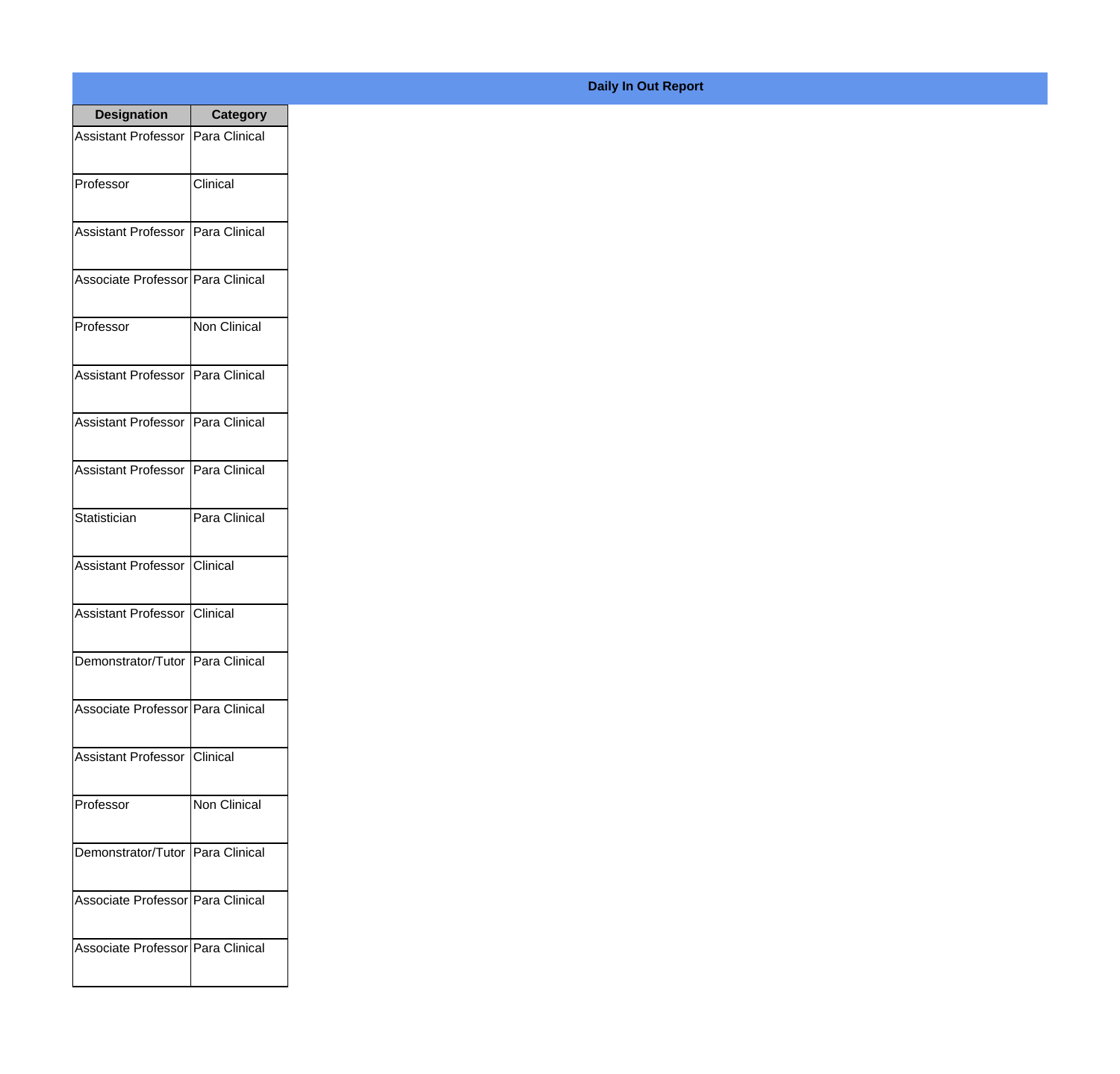| <b>Designation</b>                  | <b>Category</b> |
|-------------------------------------|-----------------|
| Assistant Professor   Para Clinical |                 |
| Professor                           | Clinical        |
| Assistant Professor   Para Clinical |                 |
| Associate Professor   Para Clinical |                 |
| Professor                           | Non Clinical    |
| Assistant Professor   Para Clinical |                 |
| Assistant Professor                 | Para Clinical   |
| Assistant Professor   Para Clinical |                 |
| Statistician                        | Para Clinical   |
| <b>Assistant Professor</b>          | Iclinical       |
| <b>Assistant Professor</b>          | Clinical        |
| Demonstrator/Tutor   Para Clinical  |                 |
| Associate Professor   Para Clinical |                 |
| Assistant Professor   Clinical      |                 |
| Professor                           | Non Clinical    |
| Demonstrator/Tutor   Para Clinical  |                 |
| Associate Professor   Para Clinical |                 |
| Associate Professor Para Clinical   |                 |

## **Daily In Out Report**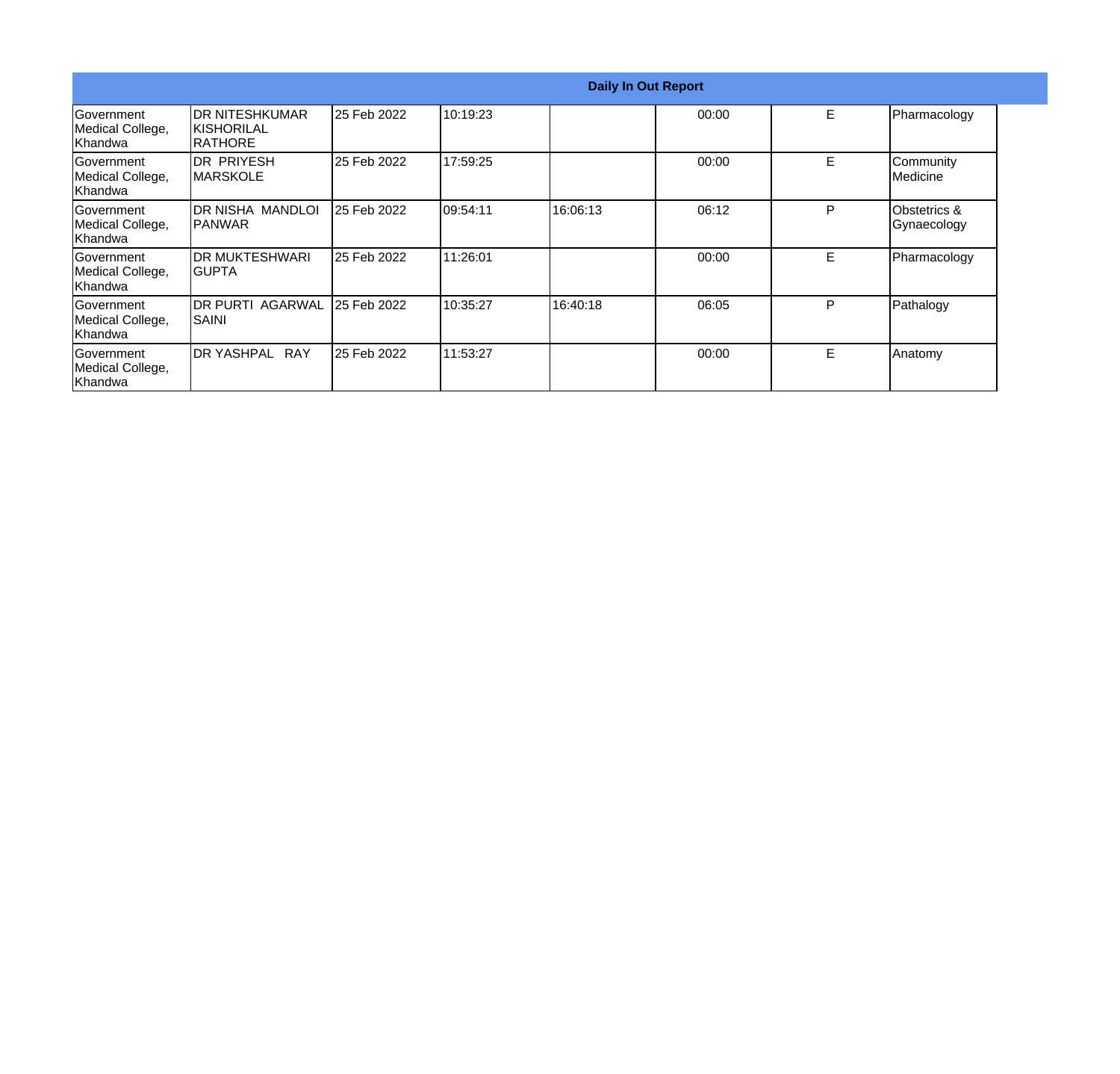|                                                   |                                                   |             |           | <b>Daily In Out Report</b> |       |    |                                |
|---------------------------------------------------|---------------------------------------------------|-------------|-----------|----------------------------|-------|----|--------------------------------|
| Government<br>Medical College,<br>lKhandwa        | IDR NITESHKUMAR<br>IKISHORILAL<br><b>IRATHORE</b> | 25 Feb 2022 | 10:19:23  |                            | 00:00 | E  | Pharmacology                   |
| Government<br>Medical College,<br>lKhandwa        | <b>DR PRIYESH</b><br>IMARSKOLE                    | 25 Feb 2022 | 17:59:25  |                            | 00:00 | E  | Community<br><b>I</b> Medicine |
| Government<br>Medical College,<br>lKhandwa        | IDR NISHA MANDLOI<br>IPANWAR                      | 25 Feb 2022 | 109:54:11 | 16:06:13                   | 06:12 | P  | Obstetrics &<br>Gynaecology    |
| <b>IGovernment</b><br>Medical College,<br>Khandwa | <b>IDR MUKTESHWARI</b><br>IGUPTA                  | 25 Feb 2022 | 11:26:01  |                            | 00:00 | E. | Pharmacology                   |
| <b>Government</b><br>Medical College,<br>Khandwa  | IDR PURTI AGARWAL<br> SAINI                       | 25 Feb 2022 | 10:35:27  | 16:40:18                   | 06:05 | P  | Pathalogy                      |
| <b>IGovernment</b><br>Medical College,<br>Khandwa | IDR YASHPAL RAY                                   | 25 Feb 2022 | 11:53:27  |                            | 00:00 | E. | Anatomy                        |